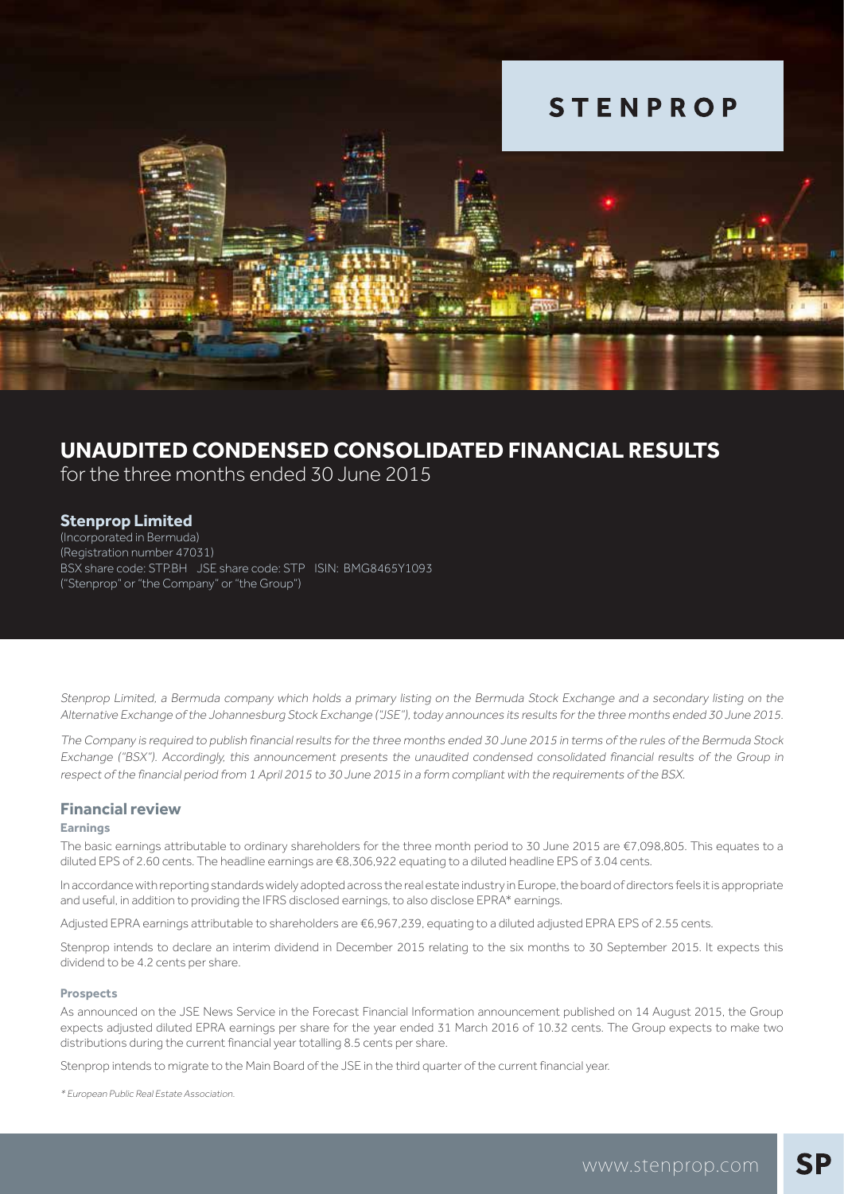

### $\overline{a}$ CONSOLIDATED FINANCIAL RESULTS **UNAUDITED CONDENSED CONSOLIDATED FINANCIAL RESULTS**

for the three months ended 30 June 2015

### **Stenprop Limited**

(Incorporated in Bermuda) (Registration number 47031) BSX share code: STP.BH JSE share code: STP ISIN: BMG8465Y1093 ("Stenprop" or "the Company" or "the Group")

Stenprop Limited, a Bermuda company which holds a primary listing on the Bermuda Stock Exchange and a secondary listing on the Alternative Exchange of the Johannesburg Stock Exchange ("JSE"), today announces its results for the three months ended 30 June 2015.

The Company is required to publish financial results for the three months ended 30 June 2015 in terms of the rules of the Bermuda Stock Exchange ("BSX"). Accordingly, this announcement presents the unaudited condensed consolidated financial results of the Group in respect of the financial period from 1 April 2015 to 30 June 2015 in a form compliant with the requirements of the BSX.

### **Financial review**

#### **Earnings**

The basic earnings attributable to ordinary shareholders for the three month period to 30 June 2015 are €7,098,805. This equates to a diluted EPS of 2.60 cents. The headline earnings are €8,306,922 equating to a diluted headline EPS of 3.04 cents.

In accordance with reporting standards widely adopted across the real estate industry in Europe, the board of directors feels it is appropriate and useful, in addition to providing the IFRS disclosed earnings, to also disclose EPRA\* earnings.

Adjusted EPRA earnings attributable to shareholders are €6,967,239, equating to a diluted adjusted EPRA EPS of 2.55 cents.

Stenprop intends to declare an interim dividend in December 2015 relating to the six months to 30 September 2015. It expects this dividend to be 4.2 cents per share.

#### **Prospects**

As announced on the JSE News Service in the Forecast Financial Information announcement published on 14 August 2015, the Group expects adjusted diluted EPRA earnings per share for the year ended 31 March 2016 of 10.32 cents. The Group expects to make two distributions during the current financial year totalling 8.5 cents per share.

Stenprop intends to migrate to the Main Board of the JSE in the third quarter of the current financial year.

\* European Public Real Estate Association.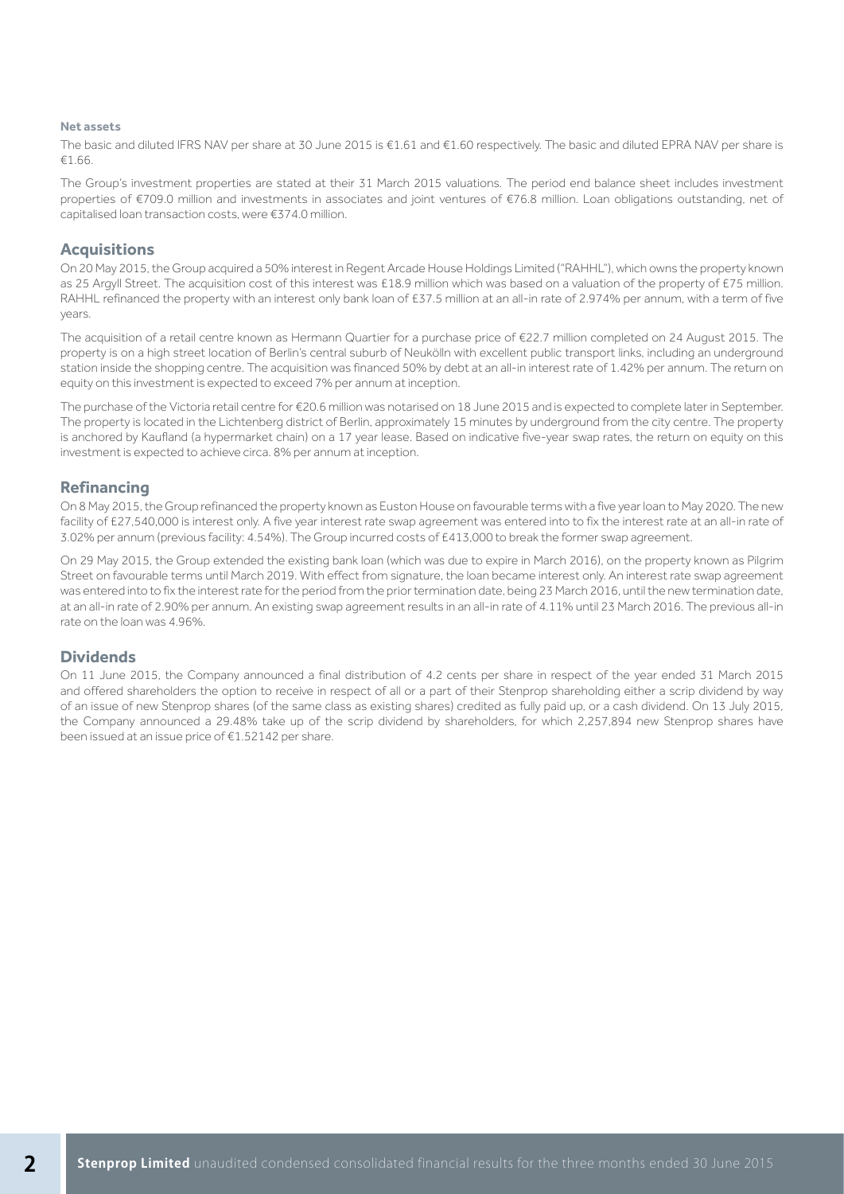#### **Net assets**

The basic and diluted IFRS NAV per share at 30 June 2015 is €1.61 and €1.60 respectively. The basic and diluted EPRA NAV per share is €1.66.

The Group's investment properties are stated at their 31 March 2015 valuations. The period end balance sheet includes investment properties of €709.0 million and investments in associates and joint ventures of €76.8 million. Loan obligations outstanding, net of capitalised loan transaction costs, were €374.0 million.

### **Acquisitions**

On 20 May 2015, the Group acquired a 50% interest in Regent Arcade House Holdings Limited ("RAHHL"), which owns the property known as 25 Argyll Street. The acquisition cost of this interest was £18.9 million which was based on a valuation of the property of £75 million. RAHHL refinanced the property with an interest only bank loan of £37.5 million at an all-in rate of 2.974% per annum, with a term of five years.

The acquisition of a retail centre known as Hermann Quartier for a purchase price of €22.7 million completed on 24 August 2015. The property is on a high street location of Berlin's central suburb of Neukölln with excellent public transport links, including an underground station inside the shopping centre. The acquisition was financed 50% by debt at an all-in interest rate of 1.42% per annum. The return on equity on this investment is expected to exceed 7% per annum at inception.

The purchase of the Victoria retail centre for €20.6 million was notarised on 18 June 2015 and is expected to complete later in September. The property is located in the Lichtenberg district of Berlin, approximately 15 minutes by underground from the city centre. The property is anchored by Kaufland (a hypermarket chain) on a 17 year lease. Based on indicative five-year swap rates, the return on equity on this investment is expected to achieve circa. 8% per annum at inception.

### **Refinancing**

On 8 May 2015, the Group refinanced the property known as Euston House on favourable terms with a five year loan to May 2020. The new facility of £27,540,000 is interest only. A five year interest rate swap agreement was entered into to fix the interest rate at an all-in rate of 3.02% per annum (previous facility: 4.54%). The Group incurred costs of £413,000 to break the former swap agreement.

On 29 May 2015, the Group extended the existing bank loan (which was due to expire in March 2016), on the property known as Pilgrim Street on favourable terms until March 2019. With effect from signature, the loan became interest only. An interest rate swap agreement was entered into to fix the interest rate for the period from the prior termination date, being 23 March 2016, until the new termination date, at an all-in rate of 2.90% per annum. An existing swap agreement results in an all-in rate of 4.11% until 23 March 2016. The previous all-in rate on the loan was 4.96%.

### **Dividends**

On 11 June 2015, the Company announced a final distribution of 4.2 cents per share in respect of the year ended 31 March 2015 and offered shareholders the option to receive in respect of all or a part of their Stenprop shareholding either a scrip dividend by way of an issue of new Stenprop shares (of the same class as existing shares) credited as fully paid up, or a cash dividend. On 13 July 2015, the Company announced a 29.48% take up of the scrip dividend by shareholders, for which 2,257,894 new Stenprop shares have been issued at an issue price of €1.52142 per share.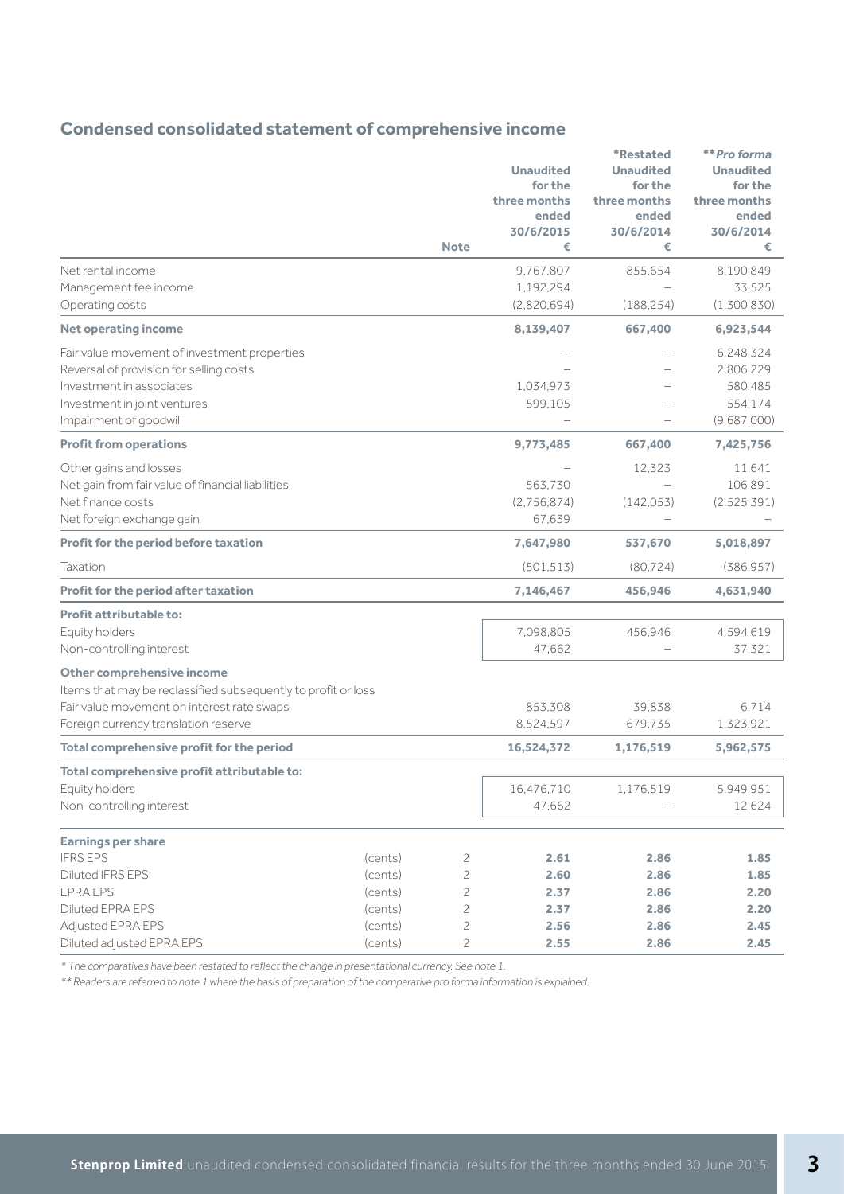### **Condensed consolidated statement of comprehensive income**

|                                                                                                                                                                                   |                    |                                | <b>Unaudited</b><br>for the<br>three months<br>ended<br>30/6/2015 | <i><b>*Restated</b></i><br><b>Unaudited</b><br>for the<br>three months<br>ended<br>30/6/2014 | **Pro forma<br><b>Unaudited</b><br>for the<br>three months<br>ended<br>30/6/2014 |
|-----------------------------------------------------------------------------------------------------------------------------------------------------------------------------------|--------------------|--------------------------------|-------------------------------------------------------------------|----------------------------------------------------------------------------------------------|----------------------------------------------------------------------------------|
|                                                                                                                                                                                   |                    | <b>Note</b>                    | €                                                                 | €                                                                                            | €                                                                                |
| Net rental income<br>Management fee income<br>Operating costs                                                                                                                     |                    |                                | 9,767,807<br>1,192,294<br>(2,820,694)                             | 855,654<br>(188, 254)                                                                        | 8,190,849<br>33,525<br>(1,300,830)                                               |
| <b>Net operating income</b>                                                                                                                                                       |                    |                                | 8,139,407                                                         | 667,400                                                                                      | 6,923,544                                                                        |
| Fair value movement of investment properties<br>Reversal of provision for selling costs<br>Investment in associates<br>Investment in joint ventures<br>Impairment of goodwill     |                    |                                | 1,034,973<br>599,105                                              |                                                                                              | 6,248,324<br>2,806,229<br>580,485<br>554,174<br>(9,687,000)                      |
| <b>Profit from operations</b>                                                                                                                                                     |                    |                                | 9,773,485                                                         | 667,400                                                                                      | 7,425,756                                                                        |
| Other gains and losses<br>Net gain from fair value of financial liabilities<br>Net finance costs<br>Net foreign exchange gain                                                     |                    |                                | 563.730<br>(2,756,874)<br>67,639                                  | 12,323<br>(142, 053)                                                                         | 11,641<br>106,891<br>(2,525,391)                                                 |
| Profit for the period before taxation                                                                                                                                             |                    |                                | 7,647,980                                                         | 537,670                                                                                      | 5,018,897                                                                        |
| Taxation                                                                                                                                                                          |                    |                                | (501, 513)                                                        | (80, 724)                                                                                    | (386, 957)                                                                       |
| Profit for the period after taxation                                                                                                                                              |                    |                                | 7,146,467                                                         | 456,946                                                                                      | 4,631,940                                                                        |
| <b>Profit attributable to:</b><br>Equity holders<br>Non-controlling interest                                                                                                      |                    |                                | 7,098,805<br>47,662                                               | 456,946                                                                                      | 4,594,619<br>37.321                                                              |
| Other comprehensive income<br>Items that may be reclassified subsequently to profit or loss<br>Fair value movement on interest rate swaps<br>Foreign currency translation reserve |                    |                                | 853,308<br>8,524,597                                              | 39,838<br>679,735                                                                            | 6.714<br>1,323,921                                                               |
| Total comprehensive profit for the period                                                                                                                                         |                    |                                | 16,524,372                                                        | 1,176,519                                                                                    | 5,962,575                                                                        |
| Total comprehensive profit attributable to:<br>Equity holders<br>Non-controlling interest                                                                                         |                    |                                | 16,476,710<br>47,662                                              | 1,176,519                                                                                    | 5,949,951<br>12,624                                                              |
| <b>Earnings per share</b>                                                                                                                                                         |                    |                                |                                                                   |                                                                                              |                                                                                  |
| <b>IFRS EPS</b>                                                                                                                                                                   | (cents)            | 2                              | 2.61                                                              | 2.86                                                                                         | 1.85                                                                             |
| Diluted IFRS EPS                                                                                                                                                                  | (cents)            | $\mathfrak 2$                  | 2.60                                                              | 2.86                                                                                         | 1.85                                                                             |
| <b>EPRA EPS</b><br>Diluted EPRA EPS                                                                                                                                               | (cents)<br>(cents) | $\mathfrak 2$<br>$\mathfrak 2$ | 2.37<br>2.37                                                      | 2.86<br>2.86                                                                                 | 2.20<br>2.20                                                                     |
| Adjusted EPRA EPS                                                                                                                                                                 | (cents)            | $\overline{c}$                 | 2.56                                                              | 2.86                                                                                         | 2.45                                                                             |
| Diluted adjusted EPRA EPS                                                                                                                                                         | (cents)            | $\mathfrak 2$                  | 2.55                                                              | 2.86                                                                                         | 2.45                                                                             |

\* The comparatives have been restated to reflect the change in presentational currency. See note 1.

\*\* Readers are referred to note 1 where the basis of preparation of the comparative pro forma information is explained.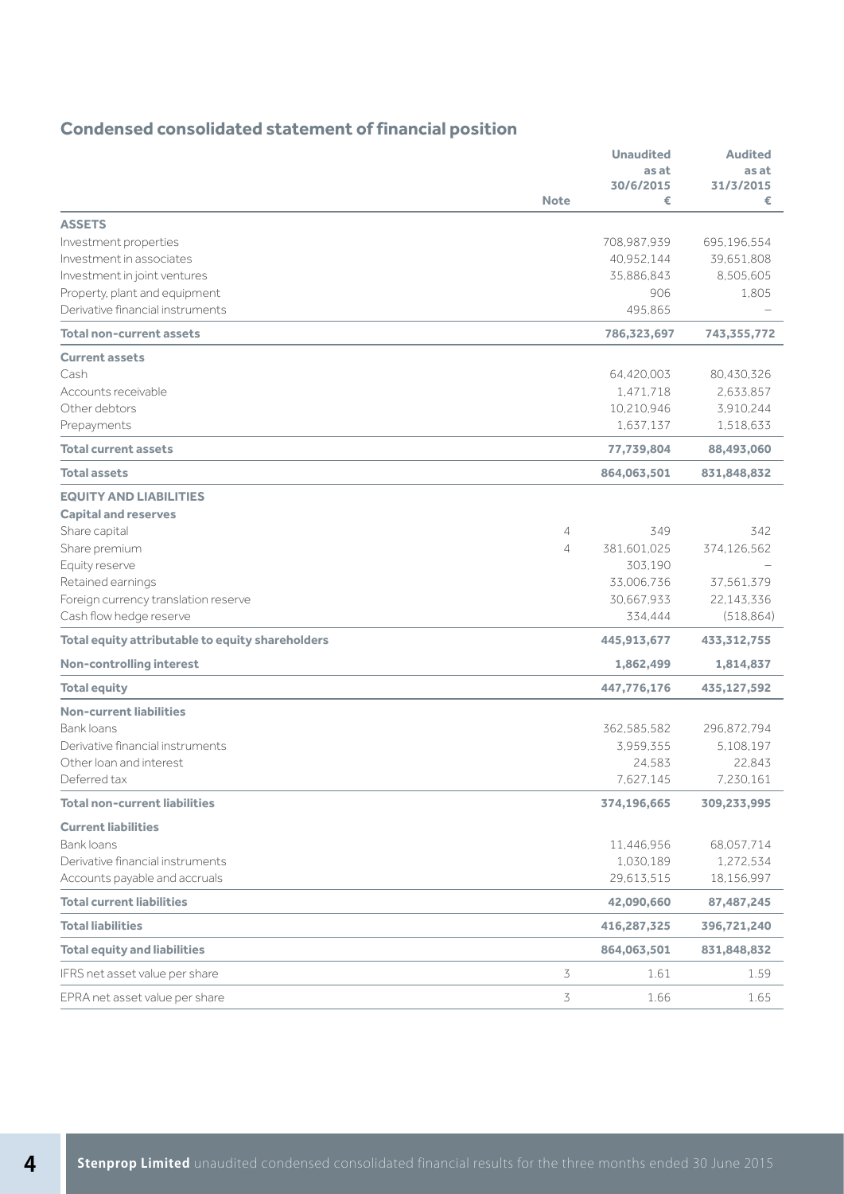# **Condensed consolidated statement of financial position**

|                                                  |                | <b>Unaudited</b>   | <b>Audited</b>     |
|--------------------------------------------------|----------------|--------------------|--------------------|
|                                                  |                | as at<br>30/6/2015 | as at<br>31/3/2015 |
|                                                  | <b>Note</b>    | €                  | €                  |
| <b>ASSETS</b>                                    |                |                    |                    |
| Investment properties                            |                | 708,987,939        | 695,196,554        |
| Investment in associates                         |                | 40.952.144         | 39,651,808         |
| Investment in joint ventures                     |                | 35,886,843         | 8,505,605          |
| Property, plant and equipment                    |                | 906                | 1,805              |
| Derivative financial instruments                 |                | 495.865            |                    |
| <b>Total non-current assets</b>                  |                | 786,323,697        | 743,355,772        |
| <b>Current assets</b>                            |                |                    |                    |
| Cash                                             |                | 64,420,003         | 80,430,326         |
| Accounts receivable                              |                | 1,471,718          | 2,633,857          |
| Other debtors                                    |                | 10,210,946         | 3,910,244          |
| Prepayments                                      |                | 1,637,137          | 1,518,633          |
| <b>Total current assets</b>                      |                | 77,739,804         | 88,493,060         |
| <b>Total assets</b>                              |                | 864,063,501        | 831,848,832        |
| <b>EQUITY AND LIABILITIES</b>                    |                |                    |                    |
| <b>Capital and reserves</b>                      |                |                    |                    |
| Share capital                                    | 4              | 349                | 342                |
| Share premium                                    | $\overline{4}$ | 381,601,025        | 374,126,562        |
| Equity reserve                                   |                | 303,190            |                    |
| Retained earnings                                |                | 33,006.736         | 37,561,379         |
| Foreign currency translation reserve             |                | 30,667,933         | 22,143,336         |
| Cash flow hedge reserve                          |                | 334,444            | (518, 864)         |
| Total equity attributable to equity shareholders |                | 445,913,677        | 433,312,755        |
| <b>Non-controlling interest</b>                  |                | 1,862,499          | 1,814,837          |
| <b>Total equity</b>                              |                | 447,776,176        | 435,127,592        |
| <b>Non-current liabilities</b>                   |                |                    |                    |
| Bank loans                                       |                | 362,585,582        | 296,872,794        |
| Derivative financial instruments                 |                | 3,959,355          | 5,108,197          |
| Other loan and interest                          |                | 24,583             | 22,843             |
| Deferred tax                                     |                | 7,627,145          | 7,230,161          |
| <b>Total non-current liabilities</b>             |                | 374,196,665        | 309,233,995        |
| <b>Current liabilities</b>                       |                |                    |                    |
| <b>Bank loans</b>                                |                | 11,446,956         | 68,057,714         |
| Derivative financial instruments                 |                | 1,030,189          | 1,272,534          |
| Accounts payable and accruals                    |                | 29,613,515         | 18,156,997         |
| <b>Total current liabilities</b>                 |                | 42,090,660         | 87,487,245         |
| <b>Total liabilities</b>                         |                | 416,287,325        | 396,721,240        |
| <b>Total equity and liabilities</b>              |                | 864,063,501        | 831,848,832        |
| IFRS net asset value per share                   | 3              | 1.61               | 1.59               |
| EPRA net asset value per share                   | 3              | 1.66               | 1.65               |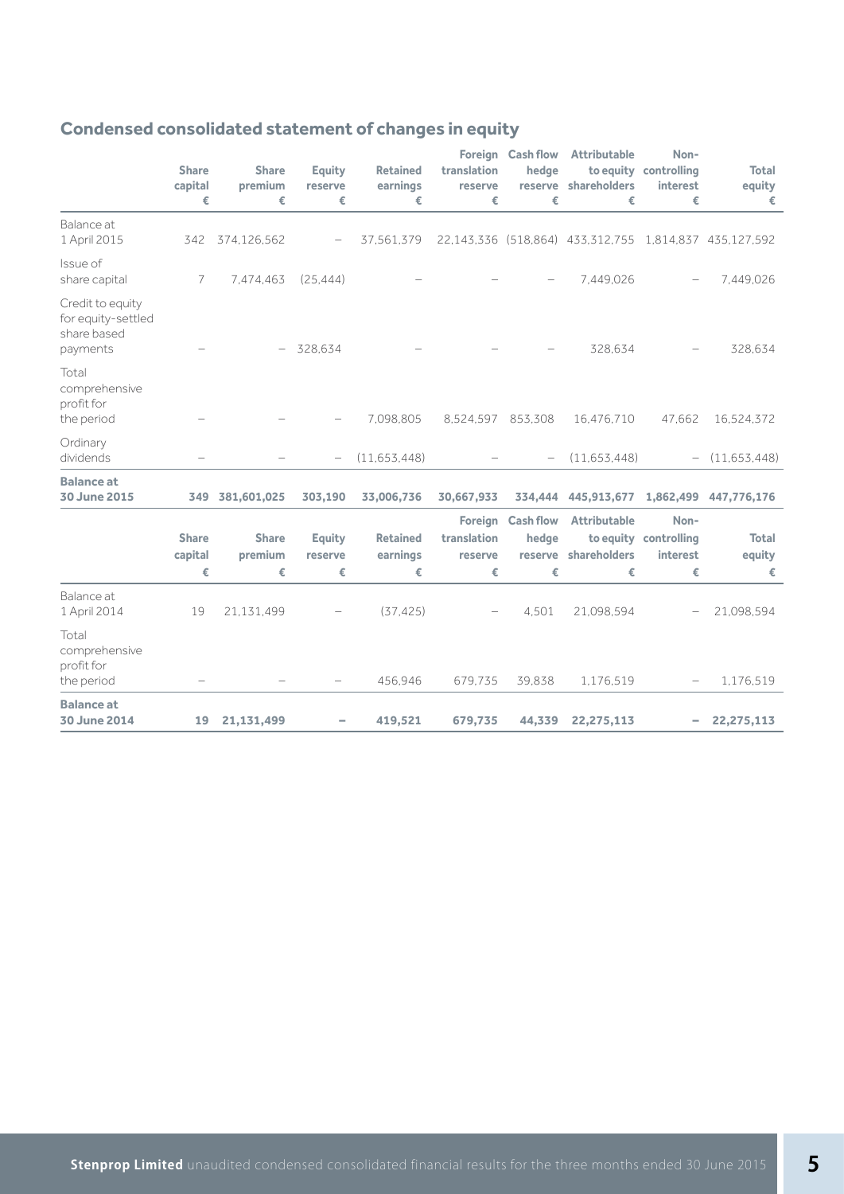|                                                                   | <b>Share</b><br>capital<br>€ | <b>Share</b><br>premium<br>€ | <b>Equity</b><br>reserve<br>€ | <b>Retained</b><br>earnings<br>€ | Foreign<br>translation<br>reserve<br>€ | <b>Cash flow</b><br>hedge<br>€            | Attributable<br>reserve shareholders<br>€              | Non-<br>to equity controlling<br>interest<br>€ | <b>Total</b><br>equity<br>€ |
|-------------------------------------------------------------------|------------------------------|------------------------------|-------------------------------|----------------------------------|----------------------------------------|-------------------------------------------|--------------------------------------------------------|------------------------------------------------|-----------------------------|
| Balance at<br>1 April 2015                                        | 342                          | 374,126,562                  |                               | 37,561,379                       |                                        |                                           | 22,143,336 (518,864) 433,312,755 1,814,837 435,127,592 |                                                |                             |
| Issue of<br>share capital                                         | 7                            | 7,474,463                    | (25, 444)                     |                                  |                                        |                                           | 7,449,026                                              |                                                | 7,449,026                   |
| Credit to equity<br>for equity-settled<br>share based<br>payments |                              | $\overline{\phantom{a}}$     | 328,634                       |                                  |                                        |                                           | 328,634                                                |                                                | 328,634                     |
| Total<br>comprehensive<br>profit for<br>the period                |                              |                              |                               | 7.098.805                        | 8.524.597 853.308                      |                                           | 16,476,710                                             | 47.662                                         | 16,524,372                  |
| Ordinary<br>dividends                                             |                              |                              |                               | (11,653,448)                     |                                        |                                           | (11,653,448)                                           |                                                | (11,653,448)                |
| <b>Balance</b> at<br>30 June 2015                                 | 349                          | 381,601,025                  | 303,190                       | 33,006,736                       | 30,667,933                             | 334,444                                   | 445,913,677                                            | 1,862,499                                      | 447,776,176                 |
|                                                                   | <b>Share</b><br>capital<br>€ | <b>Share</b><br>premium<br>€ | <b>Equity</b><br>reserve<br>€ | <b>Retained</b><br>earnings<br>€ | Foreign<br>translation<br>reserve<br>€ | <b>Cash flow</b><br>hedge<br>reserve<br>€ | Attributable<br>shareholders<br>€                      | Non-<br>to equity controlling<br>interest<br>€ | <b>Total</b><br>equity<br>€ |
| Balance at<br>1 April 2014                                        | 19                           | 21,131,499                   |                               | (37, 425)                        |                                        | 4.501                                     | 21,098,594                                             |                                                | 21,098,594                  |
| Total<br>comprehensive<br>profit for<br>the period                |                              |                              |                               | 456,946                          | 679.735                                | 39,838                                    | 1,176,519                                              |                                                | 1,176,519                   |
| <b>Balance at</b><br>30 June 2014                                 | 19                           | 21,131,499                   |                               | 419,521                          | 679,735                                | 44,339                                    | 22,275,113                                             |                                                | 22,275,113                  |

# **Condensed consolidated statement of changes in equity**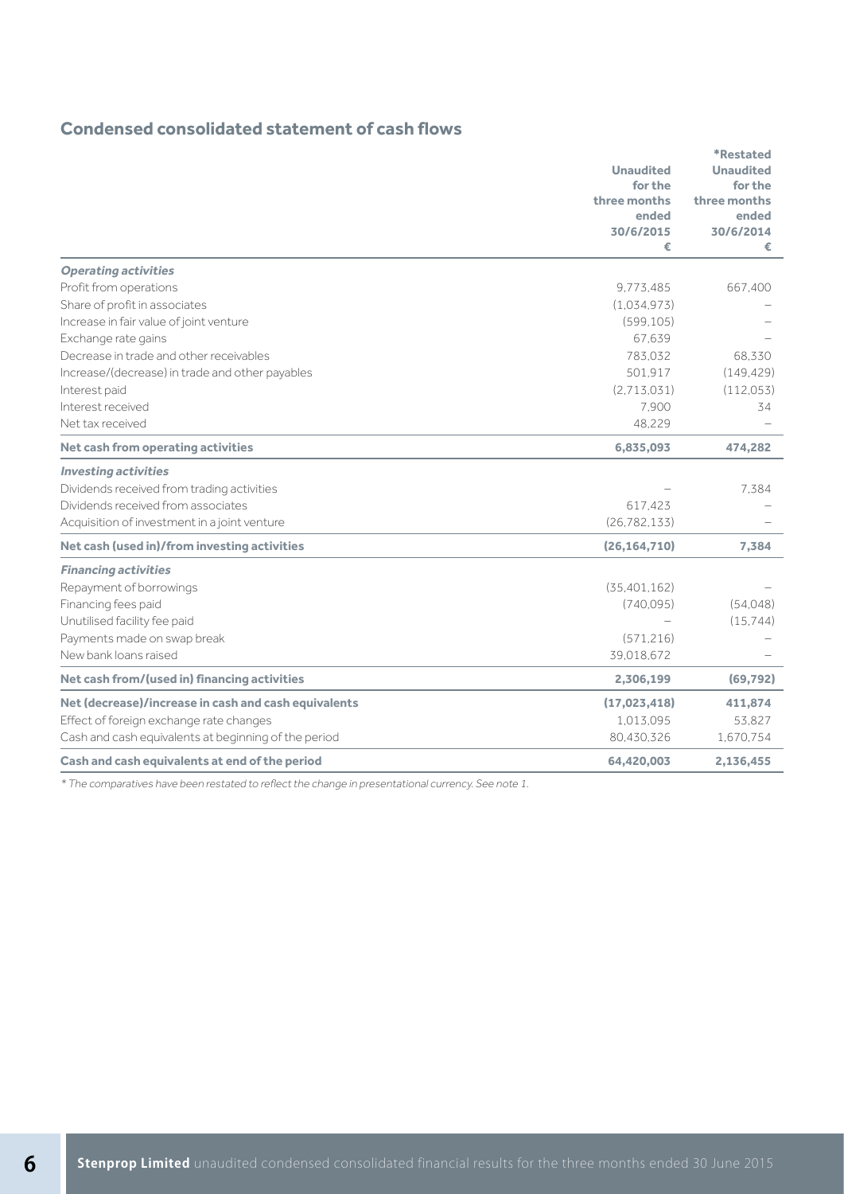### **Condensed consolidated statement of cash flows**

|                                                      |                  | <b>*Restated</b> |
|------------------------------------------------------|------------------|------------------|
|                                                      | <b>Unaudited</b> | <b>Unaudited</b> |
|                                                      | for the          | for the          |
|                                                      | three months     | three months     |
|                                                      | ended            | ended            |
|                                                      | 30/6/2015<br>€   | 30/6/2014<br>€   |
| <b>Operating activities</b>                          |                  |                  |
| Profit from operations                               | 9,773,485        | 667,400          |
| Share of profit in associates                        | (1.034.973)      |                  |
| Increase in fair value of joint venture              | (599.105)        |                  |
| Exchange rate gains                                  | 67.639           |                  |
| Decrease in trade and other receivables              | 783.032          | 68.330           |
| Increase/(decrease) in trade and other payables      | 501.917          | (149, 429)       |
| Interest paid                                        | (2,713,031)      | (112, 053)       |
| Interest received                                    | 7.900            | 34               |
| Net tax received                                     | 48,229           |                  |
| Net cash from operating activities                   | 6,835,093        | 474,282          |
| <b>Investing activities</b>                          |                  |                  |
| Dividends received from trading activities           |                  | 7.384            |
| Dividends received from associates                   | 617,423          |                  |
| Acquisition of investment in a joint venture         | (26, 782, 133)   |                  |
| Net cash (used in)/from investing activities         | (26, 164, 710)   | 7,384            |
| <b>Financing activities</b>                          |                  |                  |
| Repayment of borrowings                              | (35, 401, 162)   |                  |
| Financing fees paid                                  | (740,095)        | (54.048)         |
| Unutilised facility fee paid                         |                  | (15.744)         |
| Payments made on swap break                          | (571, 216)       |                  |
| New bank loans raised                                | 39,018,672       |                  |
| Net cash from/(used in) financing activities         | 2,306,199        | (69, 792)        |
| Net (decrease)/increase in cash and cash equivalents | (17,023,418)     | 411,874          |
| Effect of foreign exchange rate changes              | 1.013.095        | 53,827           |
| Cash and cash equivalents at beginning of the period | 80.430.326       | 1,670,754        |
| Cash and cash equivalents at end of the period       | 64,420,003       | 2,136,455        |

\* The comparatives have been restated to reflect the change in presentational currency. See note 1.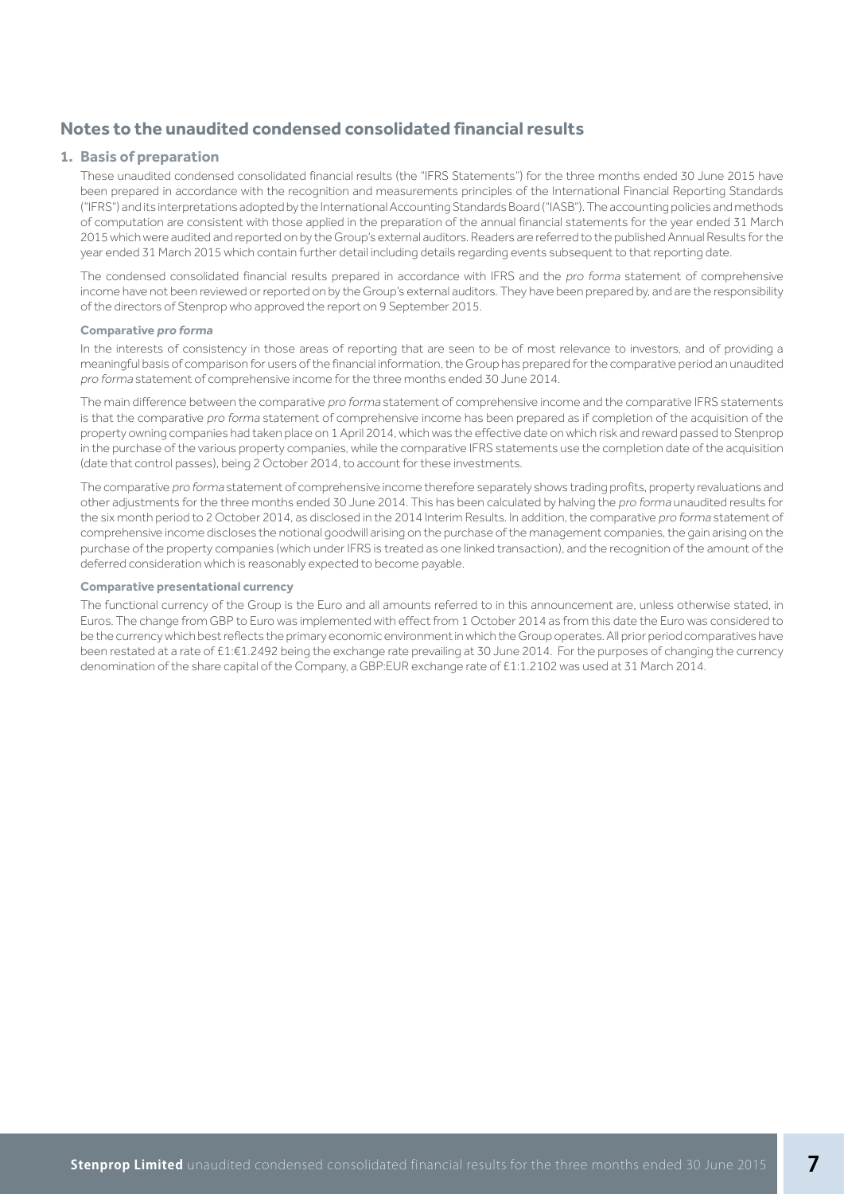### **Notes to the unaudited condensed consolidated financial results**

### **1. Basis of preparation**

 These unaudited condensed consolidated financial results (the "IFRS Statements") for the three months ended 30 June 2015 have been prepared in accordance with the recognition and measurements principles of the International Financial Reporting Standards ("IFRS") and its interpretations adopted by the International Accounting Standards Board ("IASB"). The accounting policies and methods of computation are consistent with those applied in the preparation of the annual financial statements for the year ended 31 March 2015 which were audited and reported on by the Group's external auditors. Readers are referred to the published Annual Results for the year ended 31 March 2015 which contain further detail including details regarding events subsequent to that reporting date.

The condensed consolidated financial results prepared in accordance with IFRS and the pro forma statement of comprehensive income have not been reviewed or reported on by the Group's external auditors. They have been prepared by, and are the responsibility of the directors of Stenprop who approved the report on 9 September 2015.

#### **Comparative pro forma**

 In the interests of consistency in those areas of reporting that are seen to be of most relevance to investors, and of providing a meaningful basis of comparison for users of the financial information, the Group has prepared for the comparative period an unaudited pro forma statement of comprehensive income for the three months ended 30 June 2014.

The main difference between the comparative pro forma statement of comprehensive income and the comparative IFRS statements is that the comparative pro forma statement of comprehensive income has been prepared as if completion of the acquisition of the property owning companies had taken place on 1 April 2014, which was the effective date on which risk and reward passed to Stenprop in the purchase of the various property companies, while the comparative IFRS statements use the completion date of the acquisition (date that control passes), being 2 October 2014, to account for these investments.

The comparative pro forma statement of comprehensive income therefore separately shows trading profits, property revaluations and other adjustments for the three months ended 30 June 2014. This has been calculated by halving the pro forma unaudited results for the six month period to 2 October 2014, as disclosed in the 2014 Interim Results. In addition, the comparative pro forma statement of comprehensive income discloses the notional goodwill arising on the purchase of the management companies, the gain arising on the purchase of the property companies (which under IFRS is treated as one linked transaction), and the recognition of the amount of the deferred consideration which is reasonably expected to become payable.

### **Comparative presentational currency**

 The functional currency of the Group is the Euro and all amounts referred to in this announcement are, unless otherwise stated, in Euros. The change from GBP to Euro was implemented with effect from 1 October 2014 as from this date the Euro was considered to be the currency which best reflects the primary economic environment in which the Group operates. All prior period comparatives have been restated at a rate of £1:€1.2492 being the exchange rate prevailing at 30 June 2014. For the purposes of changing the currency denomination of the share capital of the Company, a GBP:EUR exchange rate of £1:1.2102 was used at 31 March 2014.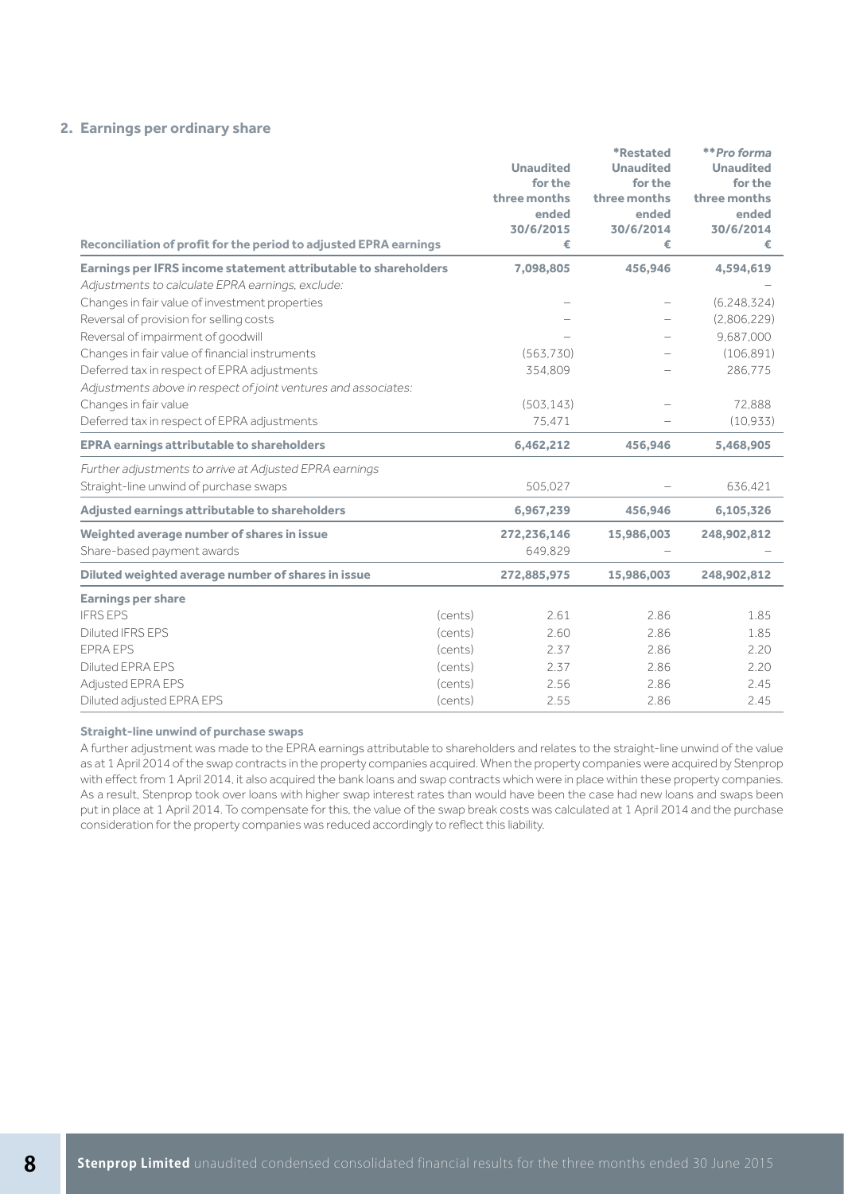### **2. Earnings per ordinary share**

|                                                                   |         |                    | <i><b>*Restated</b></i>  | **Pro forma        |
|-------------------------------------------------------------------|---------|--------------------|--------------------------|--------------------|
|                                                                   |         | <b>Unaudited</b>   | <b>Unaudited</b>         | <b>Unaudited</b>   |
|                                                                   |         | for the            | for the                  | for the            |
|                                                                   |         | three months       | three months             | three months       |
|                                                                   |         | ended<br>30/6/2015 | ended<br>30/6/2014       | ended<br>30/6/2014 |
| Reconciliation of profit for the period to adjusted EPRA earnings |         | €                  | €                        | €                  |
| Earnings per IFRS income statement attributable to shareholders   |         | 7,098,805          | 456,946                  | 4,594,619          |
| Adjustments to calculate EPRA earnings, exclude:                  |         |                    |                          |                    |
| Changes in fair value of investment properties                    |         |                    | $\overline{\phantom{0}}$ | (6, 248, 324)      |
| Reversal of provision for selling costs                           |         |                    |                          | (2,806,229)        |
| Reversal of impairment of goodwill                                |         |                    |                          | 9,687,000          |
| Changes in fair value of financial instruments                    |         | (563.730)          |                          | (106, 891)         |
| Deferred tax in respect of EPRA adjustments                       |         | 354,809            |                          | 286,775            |
| Adjustments above in respect of joint ventures and associates:    |         |                    |                          |                    |
| Changes in fair value                                             |         | (503, 143)         |                          | 72,888             |
| Deferred tax in respect of EPRA adjustments                       |         | 75,471             |                          | (10, 933)          |
| <b>EPRA earnings attributable to shareholders</b>                 |         | 6,462,212          | 456,946                  | 5,468,905          |
| Further adjustments to arrive at Adjusted EPRA earnings           |         |                    |                          |                    |
| Straight-line unwind of purchase swaps                            |         | 505,027            |                          | 636,421            |
| Adjusted earnings attributable to shareholders                    |         | 6,967,239          | 456,946                  | 6,105,326          |
| Weighted average number of shares in issue                        |         | 272,236,146        | 15,986,003               | 248,902,812        |
| Share-based payment awards                                        |         | 649,829            |                          |                    |
| Diluted weighted average number of shares in issue                |         | 272,885,975        | 15,986,003               | 248,902,812        |
| <b>Earnings per share</b>                                         |         |                    |                          |                    |
| <b>IFRS EPS</b>                                                   | (cents) | 2.61               | 2.86                     | 1.85               |
| Diluted IFRS EPS                                                  | (cents) | 2.60               | 2.86                     | 1.85               |
| <b>EPRA EPS</b>                                                   | (cents) | 2.37               | 2.86                     | 2.20               |
| <b>Diluted EPRA EPS</b>                                           | (cents) | 2.37               | 2.86                     | 2.20               |
| Adjusted EPRA EPS                                                 | (cents) | 2.56               | 2.86                     | 2.45               |
| Diluted adjusted EPRA EPS                                         | (cents) | 2.55               | 2.86                     | 2.45               |

#### **Straight-line unwind of purchase swaps**

A further adjustment was made to the EPRA earnings attributable to shareholders and relates to the straight-line unwind of the value as at 1 April 2014 of the swap contracts in the property companies acquired. When the property companies were acquired by Stenprop with effect from 1 April 2014, it also acquired the bank loans and swap contracts which were in place within these property companies. As a result, Stenprop took over loans with higher swap interest rates than would have been the case had new loans and swaps been put in place at 1 April 2014. To compensate for this, the value of the swap break costs was calculated at 1 April 2014 and the purchase consideration for the property companies was reduced accordingly to reflect this liability.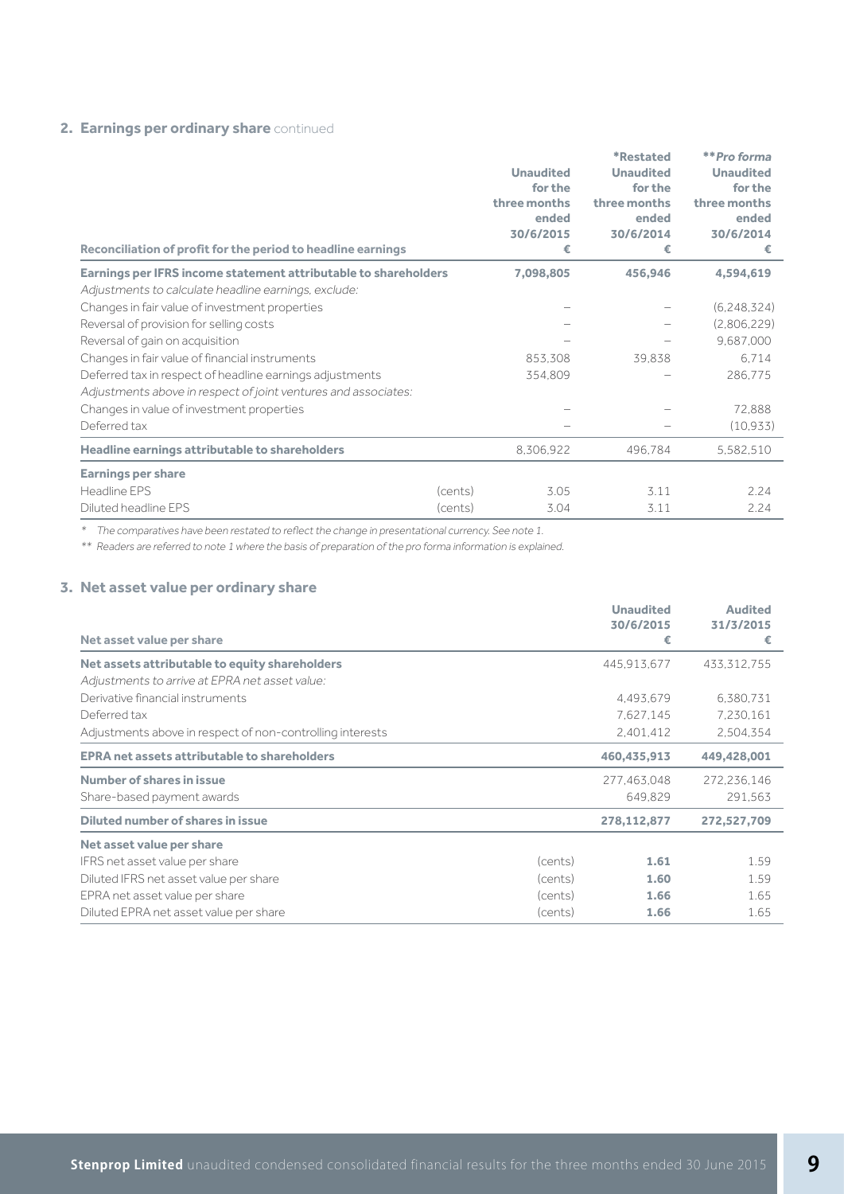### **2. Earnings per ordinary share** continued

| Reconciliation of profit for the period to headline earnings    |         | <b>Unaudited</b><br>for the<br>three months<br>ended<br>30/6/2015<br>€ | <i><b>*Restated</b></i><br><b>Unaudited</b><br>for the<br>three months<br>ended<br>30/6/2014<br>€ | **Pro forma<br><b>Unaudited</b><br>for the<br>three months<br>ended<br>30/6/2014<br>€ |
|-----------------------------------------------------------------|---------|------------------------------------------------------------------------|---------------------------------------------------------------------------------------------------|---------------------------------------------------------------------------------------|
| Earnings per IFRS income statement attributable to shareholders |         | 7,098,805                                                              | 456,946                                                                                           | 4,594,619                                                                             |
| Adjustments to calculate headline earnings, exclude:            |         |                                                                        |                                                                                                   |                                                                                       |
| Changes in fair value of investment properties                  |         |                                                                        |                                                                                                   | (6, 248, 324)                                                                         |
| Reversal of provision for selling costs                         |         |                                                                        |                                                                                                   | (2,806,229)                                                                           |
| Reversal of gain on acquisition                                 |         |                                                                        |                                                                                                   | 9,687,000                                                                             |
| Changes in fair value of financial instruments                  |         | 853,308                                                                | 39,838                                                                                            | 6.714                                                                                 |
| Deferred tax in respect of headline earnings adjustments        |         | 354,809                                                                |                                                                                                   | 286,775                                                                               |
| Adjustments above in respect of joint ventures and associates:  |         |                                                                        |                                                                                                   |                                                                                       |
| Changes in value of investment properties                       |         |                                                                        |                                                                                                   | 72,888                                                                                |
| Deferred tax                                                    |         |                                                                        |                                                                                                   | (10.933)                                                                              |
| Headline earnings attributable to shareholders                  |         | 8,306,922                                                              | 496,784                                                                                           | 5,582,510                                                                             |
| <b>Earnings per share</b>                                       |         |                                                                        |                                                                                                   |                                                                                       |
| Headline EPS                                                    | (cents) | 3.05                                                                   | 3.11                                                                                              | 2.24                                                                                  |
| Diluted headline EPS                                            | (cents) | 3.04                                                                   | 3.11                                                                                              | 2.24                                                                                  |

\* The comparatives have been restated to reflect the change in presentational currency. See note 1.

\*\* Readers are referred to note 1 where the basis of preparation of the pro forma information is explained.

### **3. Net asset value per ordinary share**

|                                                           |         | <b>Unaudited</b> | <b>Audited</b> |
|-----------------------------------------------------------|---------|------------------|----------------|
| Net asset value per share                                 |         | 30/6/2015<br>€   | 31/3/2015<br>€ |
| Net assets attributable to equity shareholders            |         | 445,913,677      | 433,312,755    |
| Adjustments to arrive at EPRA net asset value:            |         |                  |                |
| Derivative financial instruments                          |         | 4,493,679        | 6,380,731      |
| Deferred tax                                              |         | 7,627,145        | 7,230,161      |
| Adjustments above in respect of non-controlling interests |         | 2,401,412        | 2,504,354      |
| <b>EPRA net assets attributable to shareholders</b>       |         | 460,435,913      | 449,428,001    |
| Number of shares in issue                                 |         | 277,463,048      | 272,236,146    |
| Share-based payment awards                                |         | 649,829          | 291,563        |
| Diluted number of shares in issue                         |         | 278,112,877      | 272,527,709    |
| Net asset value per share                                 |         |                  |                |
| IFRS net asset value per share                            | (cents) | 1.61             | 1.59           |
| Diluted IFRS net asset value per share                    | (cents) | 1.60             | 1.59           |
| EPRA net asset value per share                            | (cents) | 1.66             | 1.65           |
| Diluted EPRA net asset value per share                    | (cents) | 1.66             | 1.65           |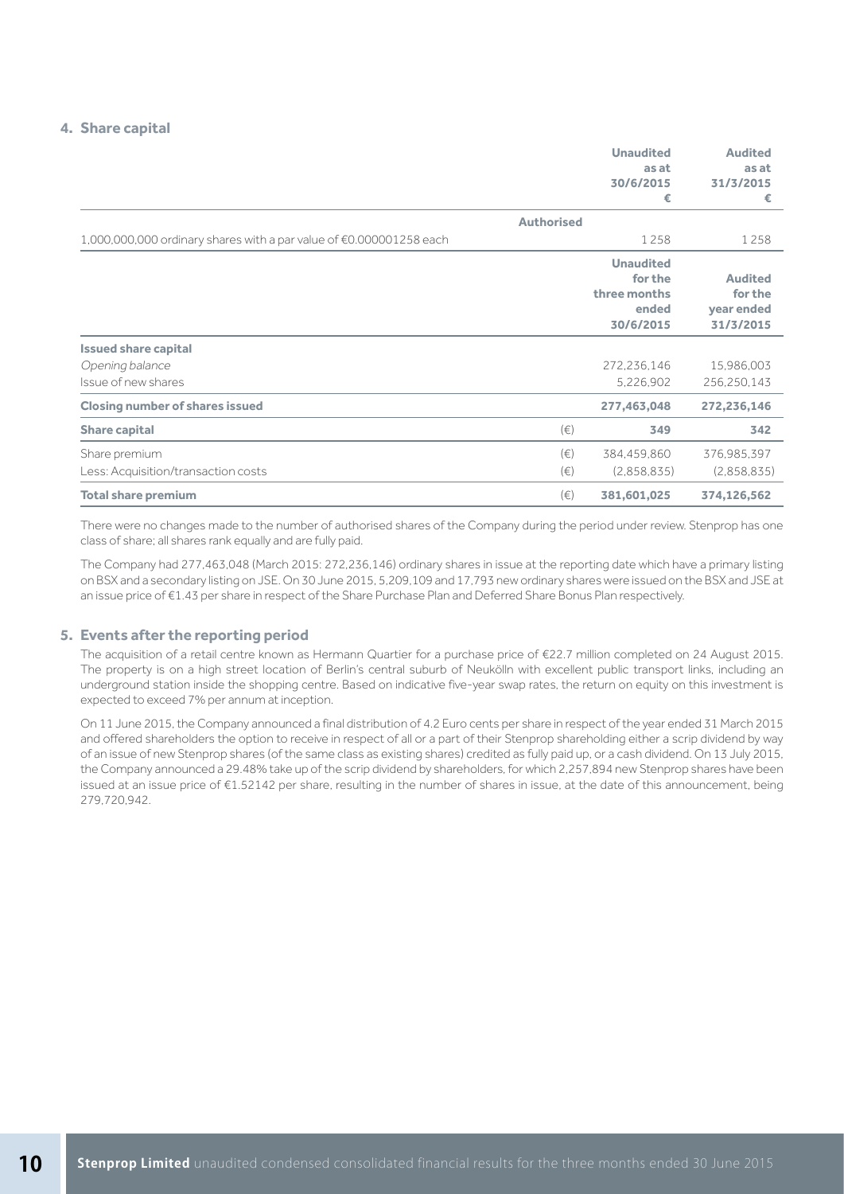### **4. Share capital**

|                                                                     |                    | <b>Unaudited</b><br>as at<br>30/6/2015<br>€                       | <b>Audited</b><br>as at<br>31/3/2015<br>€                          |
|---------------------------------------------------------------------|--------------------|-------------------------------------------------------------------|--------------------------------------------------------------------|
|                                                                     | <b>Authorised</b>  |                                                                   |                                                                    |
| 1,000,000,000 ordinary shares with a par value of €0.000001258 each |                    | 1258                                                              | 1258                                                               |
| <b>Issued share capital</b>                                         |                    | <b>Unaudited</b><br>for the<br>three months<br>ended<br>30/6/2015 | <b>Audited</b><br>for the<br>year ended<br>31/3/2015<br>15,986,003 |
| Opening balance<br>Issue of new shares                              |                    | 272,236,146<br>5,226,902                                          | 256,250,143                                                        |
| <b>Closing number of shares issued</b>                              |                    | 277,463,048                                                       | 272,236,146                                                        |
| <b>Share capital</b>                                                | $(\in)$            | 349                                                               | 342                                                                |
| Share premium<br>Less: Acquisition/transaction costs                | $(\in)$<br>$(\in)$ | 384,459,860<br>(2,858,835)                                        | 376,985,397<br>(2,858,835)                                         |
| <b>Total share premium</b>                                          | $(\in)$            | 381,601,025                                                       | 374,126,562                                                        |

There were no changes made to the number of authorised shares of the Company during the period under review. Stenprop has one class of share; all shares rank equally and are fully paid.

The Company had 277,463,048 (March 2015: 272,236,146) ordinary shares in issue at the reporting date which have a primary listing on BSX and a secondary listing on JSE. On 30 June 2015, 5,209,109 and 17,793 new ordinary shares were issued on the BSX and JSE at an issue price of €1.43 per share in respect of the Share Purchase Plan and Deferred Share Bonus Plan respectively.

#### **5. Events after the reporting period**

 The acquisition of a retail centre known as Hermann Quartier for a purchase price of €22.7 million completed on 24 August 2015. The property is on a high street location of Berlin's central suburb of Neukölln with excellent public transport links, including an underground station inside the shopping centre. Based on indicative five-year swap rates, the return on equity on this investment is expected to exceed 7% per annum at inception.

 On 11 June 2015, the Company announced a final distribution of 4.2 Euro cents per share in respect of the year ended 31 March 2015 and offered shareholders the option to receive in respect of all or a part of their Stenprop shareholding either a scrip dividend by way of an issue of new Stenprop shares (of the same class as existing shares) credited as fully paid up, or a cash dividend. On 13 July 2015, the Company announced a 29.48% take up of the scrip dividend by shareholders, for which 2,257,894 new Stenprop shares have been issued at an issue price of €1.52142 per share, resulting in the number of shares in issue, at the date of this announcement, being 279,720,942.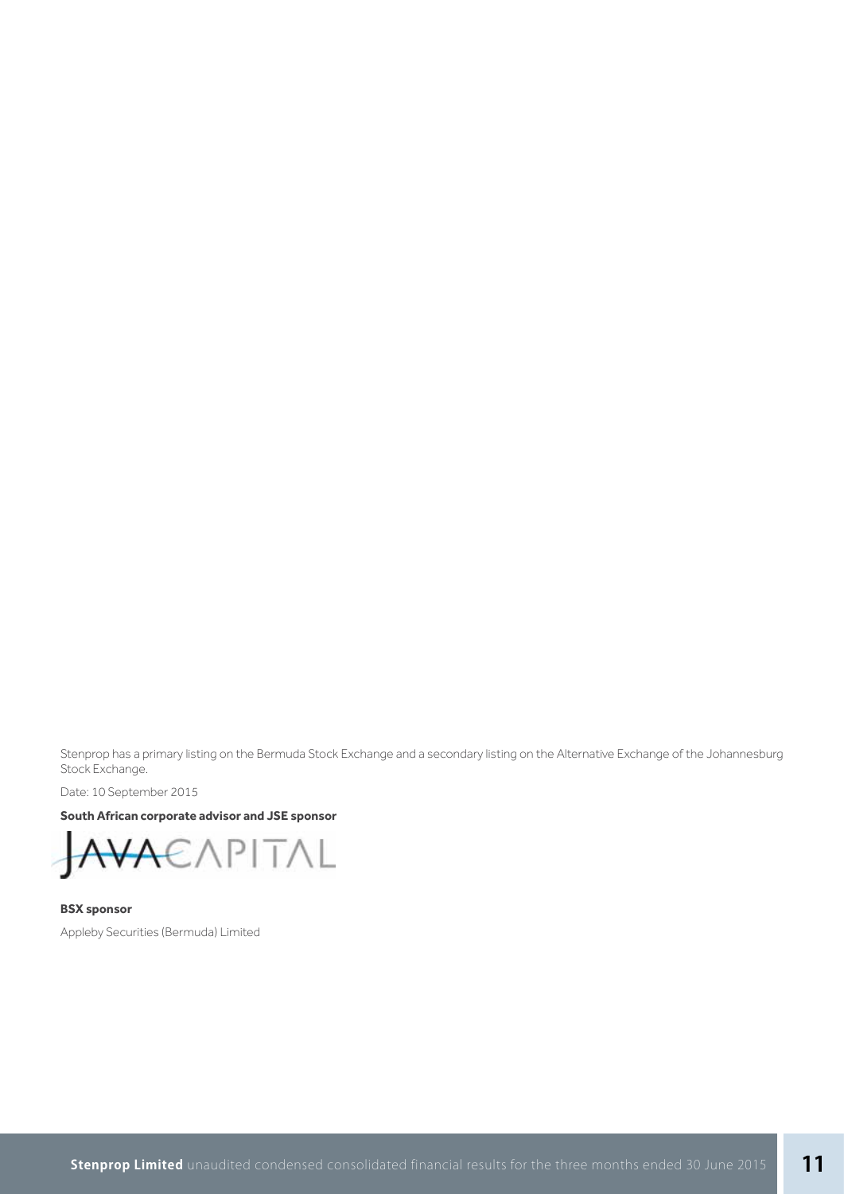Stenprop has a primary listing on the Bermuda Stock Exchange and a secondary listing on the Alternative Exchange of the Johannesburg Stock Exchange.

Date: 10 September 2015

### **South African corporate advisor and JSE sponsor**

$$
\text{AVA}\text{EXPITAL}
$$

**BSX sponsor** Appleby Securities (Bermuda) Limited